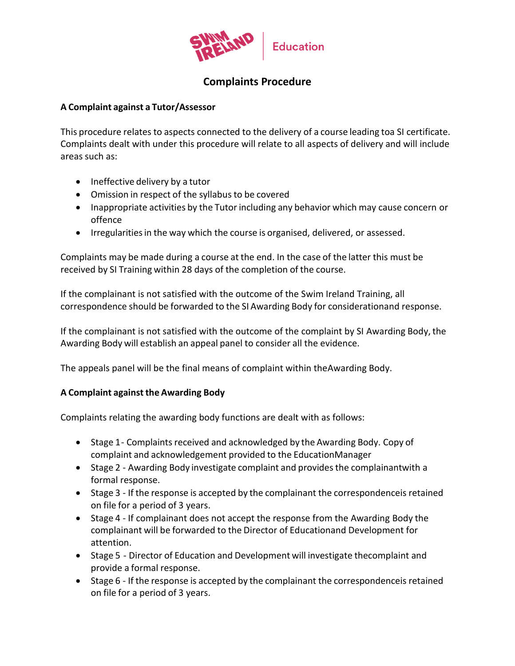

## **Complaints Procedure**

## **A Complaint against a Tutor/Assessor**

This procedure relates to aspects connected to the delivery of a course leading toa SI certificate. Complaints dealt with under this procedure will relate to all aspects of delivery and will include areas such as:

- Ineffective delivery by a tutor
- Omission in respect of the syllabus to be covered
- Inappropriate activities by the Tutor including any behavior which may cause concern or offence
- Irregularities in the way which the course is organised, delivered, or assessed.

Complaints may be made during a course at the end. In the case of the latter this must be received by SI Training within 28 days of the completion of the course.

If the complainant is not satisfied with the outcome of the Swim Ireland Training, all correspondence should be forwarded to the SI Awarding Body for considerationand response.

If the complainant is not satisfied with the outcome of the complaint by SI Awarding Body, the Awarding Body will establish an appeal panel to consider all the evidence.

The appeals panel will be the final means of complaint within theAwarding Body.

## **A Complaint against the Awarding Body**

Complaints relating the awarding body functions are dealt with as follows:

- Stage 1 Complaints received and acknowledged by the Awarding Body. Copy of complaint and acknowledgement provided to the EducationManager
- Stage 2 Awarding Body investigate complaint and provides the complainantwith a formal response.
- Stage 3 If the response is accepted by the complainant the correspondenceis retained on file for a period of 3 years.
- Stage 4 If complainant does not accept the response from the Awarding Body the complainant will be forwarded to the Director of Educationand Development for attention.
- Stage 5 Director of Education and Development will investigate thecomplaint and provide a formal response.
- Stage 6 If the response is accepted by the complainant the correspondenceis retained on file for a period of 3 years.